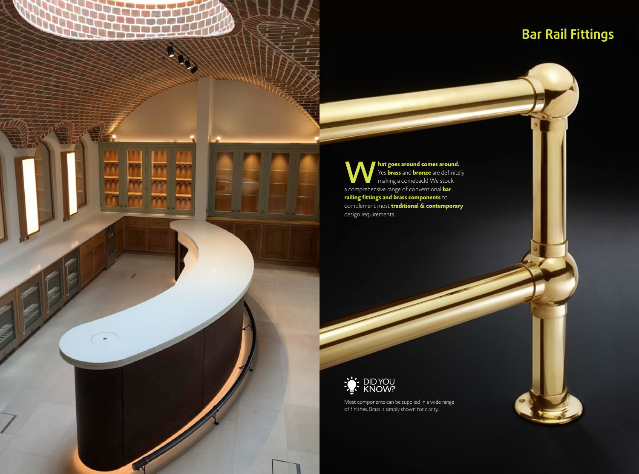## **Bar Rail Fittings**

**W** Yes **brass and bronze** are definite<br>making a comeback! We stock<br>a comprehensive range of conventional **bar** Yes **brass** and **bronze** are definitely making a comeback! We stock a comprehensive range of conventional **bar railing fittings and brass components** to complement most **traditional & contemporary** design requirements.

**Glass Fixing Solutions**



Product Range 03300 414 881 Architectural Fittings & Components - White Metal © All rights reserved Balustrade and Railing Systems - White Metal © All rights reserved 111 <sup>7</sup>

Most components can be supplied in a wide range of finishes. Brass is simply shown for clarity.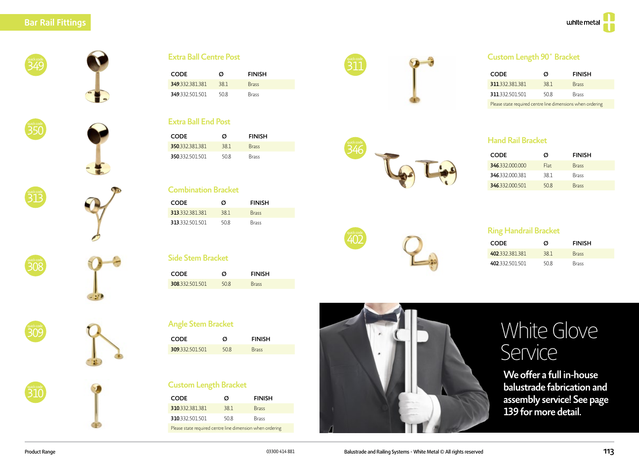



















| <b>CODE</b>     | Ø   | <b>FINISH</b> |  |
|-----------------|-----|---------------|--|
| 349 332 381 381 | 381 | <b>Brass</b>  |  |
| 349 332 501 501 | 508 | <b>Brass</b>  |  |

#### **Extra Ball End Post**

| <b>CODE</b>     | Ø    | <b>FINISH</b> |
|-----------------|------|---------------|
| 350.332.381.381 | 381  | <b>Brass</b>  |
| 350.332.501.501 | 50.8 | Brass         |

#### **Combination Bracket**

| <b>CODE</b>     | Ø    | <b>FINISH</b> |
|-----------------|------|---------------|
| 313 332 381 381 | 381  | <b>Brass</b>  |
| 313 332 501 501 | 50.8 | <b>Brass</b>  |

## Side Stem Bracket

| CODE                    | Ø   | <b>FINISH</b> |
|-------------------------|-----|---------------|
| <b>308</b> .332.501.501 | 508 | <b>Brass</b>  |

|            | <b>CODE</b>                  | Ø    | <b>FINISH</b> |  |
|------------|------------------------------|------|---------------|--|
|            | 308.332.501.501              | 50.8 | <b>Brass</b>  |  |
| quick code | <b>Angle Stem Bracket</b>    |      |               |  |
|            | <b>CODE</b>                  | Ø    | <b>FINISH</b> |  |
|            | 309.332.501.501              | 50.8 | <b>Brass</b>  |  |
|            |                              |      |               |  |
| uick code  | <b>Custom Length Bracket</b> |      |               |  |

| <b>CODE</b>                                               | Ø   | <b>FINISH</b> |
|-----------------------------------------------------------|-----|---------------|
| 310.332.381.381                                           | 381 | <b>Brass</b>  |
| 310.332.501.501                                           | 508 | <b>Brass</b>  |
| Please state required centre line dimension when ordering |     |               |



402

346

#### **Custom Length 90° Bracket**

| <b>CODE</b>                                                | Ø   | <b>FINISH</b> |
|------------------------------------------------------------|-----|---------------|
| 311.332.381.381                                            | 381 | <b>Brass</b>  |
| 311.332.501.501                                            | 508 | Brass         |
| Please state required centre line dimensions when ordering |     |               |

#### Hand Rail Bracket

| <b>CODE</b>     | Ø     | <b>FINISH</b> |
|-----------------|-------|---------------|
| 346.332,000,000 | Flat. | <b>Brass</b>  |
| 346 332 000 381 | 381   | <b>Brass</b>  |
| 346.332.000.501 | 508   | <b>Brass</b>  |

#### quick code **Ring Handrail Bracket**

| <b>CODE</b>     | Ø    | <b>FINISH</b> |  |
|-----------------|------|---------------|--|
| 402 332 381 381 | 381  | <b>Brass</b>  |  |
| 402.332.501.501 | 50.8 | <b>Brass</b>  |  |

## White Glove Service

We offer a full in-house balustrade fabrication and assembly service! See page 139 for more detail.

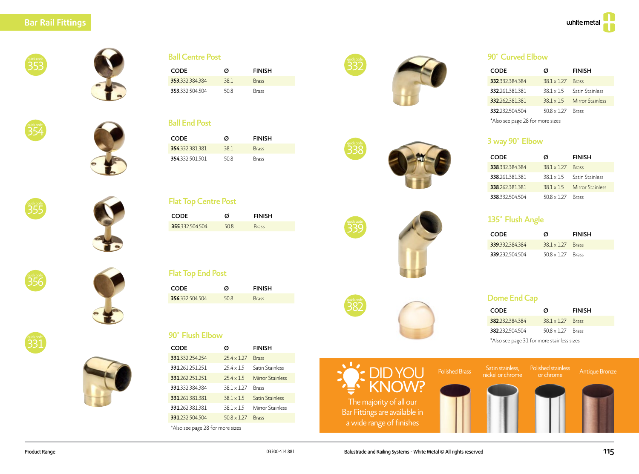#### **Bar Rail Fittings**









**Ball Centre Post** 

#### **Ball End Post**

| <b>CODE</b>     | Ø    | <b>FINISH</b> |
|-----------------|------|---------------|
| 354.332.381.381 | 381  | <b>Brass</b>  |
| 354.332.501.501 | 50.8 | <b>Brass</b>  |





#### **Flat Top Centre Post**

| <b>CODE</b>     | Ø    | <b>FINISH</b> |
|-----------------|------|---------------|
| 355.332.504.504 | 50.8 | <b>Brass</b>  |



╕

quick code







|  | <b>Flat Top End Post</b> |
|--|--------------------------|
|  |                          |
|  |                          |

| CODE                    | Ø   | <b>FINISH</b> |
|-------------------------|-----|---------------|
| <b>356</b> .332.504.504 | 508 | <b>Brass</b>  |

#### 90° Flush Elbow

| CODE                             | Ø                | <b>FINISH</b>          |  |
|----------------------------------|------------------|------------------------|--|
| 331 332 254 254                  | $754 \times 127$ | <b>Brass</b>           |  |
| 331 261 251 251                  | $754 \times 15$  | <b>Satin Stainless</b> |  |
| 331 262 251 251                  | $754 \times 15$  | Mirror Stainless       |  |
| 331 332 384 384                  | $381 \times 127$ | <b>Brass</b>           |  |
| 331.261.381.381                  | $381 \times 15$  | <b>Satin Stainless</b> |  |
| 331 262 381 381                  | $381 \times 15$  | Mirror Stainless       |  |
| 331.232.504.504                  | $508 \times 127$ | <b>Brass</b>           |  |
| *Also see page 28 for more sizes |                  |                        |  |



quick code

quick code

382









#### 90° Curved Elbow

| <b>CODE</b>                      | Ø                  | <b>FINISH</b>          |  |
|----------------------------------|--------------------|------------------------|--|
| 332.332.384.384                  | $38.1 \times 1.27$ | <b>Brass</b>           |  |
| 332.261.381.381                  | $38.1 \times 1.5$  | <b>Satin Stainless</b> |  |
| 332.262.381.381                  | $381 \times 15$    | Mirror Stainless       |  |
| 332.232.504.504                  | $50.8 \times 1.27$ | <b>Brass</b>           |  |
| *Also see page 28 for more sizes |                    |                        |  |

#### 3 way 90° Elbow

| <b>CODE</b>     | Ø                  | <b>FINISH</b>          |
|-----------------|--------------------|------------------------|
| 338 332 384 384 | $38.1 \times 1.27$ | <b>Rracc</b>           |
| 338.261.381.381 | $381 \times 15$    | <b>Satin Stainless</b> |
| 338 262 381 381 | $381 \times 15$    | Mirror Stainless       |
| 338 332 504 504 | $508 \times 127$   | Rracc                  |

#### 135° Flush Angle

| <b>CODE</b>     | Ø                      | <b>FINISH</b> |
|-----------------|------------------------|---------------|
| 339 332 384 384 | $381 \times 127$ Brass |               |
| 339 232 504 504 | $508 \times 127$ Brass |               |

#### Dome End Cap

| <b>CODE</b>                                | Ø                        | <b>FINISH</b> |
|--------------------------------------------|--------------------------|---------------|
| 382 232 384 384                            | $381 \times 127$ Brass   |               |
| 382.232.504.504                            | $50.8 \times 1.27$ Brass |               |
| *Also see page 31 for more stainless sizes |                          |               |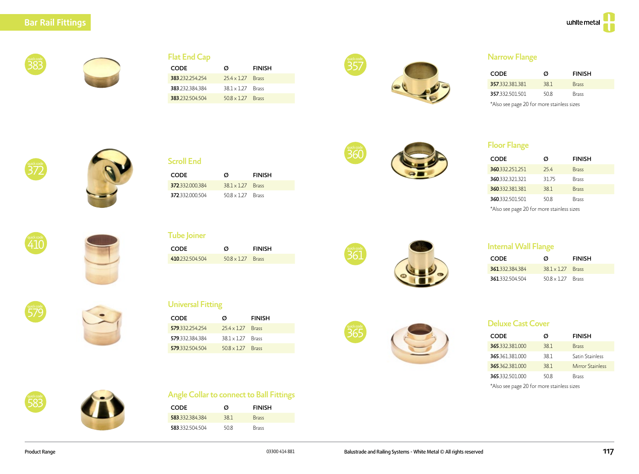

#### **Flat End Cap**

| Ø                        | <b>FINISH</b> |
|--------------------------|---------------|
| $254 \times 127$ Brass   |               |
| $38.1 \times 1.27$ Brass |               |
| $50.8 \times 1.27$ Brass |               |
|                          |               |





#### **Narrow Flange**

| <b>CODE</b>     | Ø   | <b>FINISH</b> |
|-----------------|-----|---------------|
| 357.332.381.381 | 381 | <b>Brass</b>  |
| 357.332.501.501 | 508 | <b>Brass</b>  |
|                 |     |               |

\*Also see page 20 for more stainless sizes





#### Scroll End

| <b>CODE</b>     | Ø                        | <b>FINISH</b> |
|-----------------|--------------------------|---------------|
| 372 332 000 384 | $381 \times 127$ Brass   |               |
| 372.332.000.504 | $50.8 \times 1.27$ Brass |               |



#### **Floor Flange**

| <b>CODE</b>     | Ø     | <b>FINISH</b> |
|-----------------|-------|---------------|
| 360.332.251.251 | 254   | <b>Brass</b>  |
| 360.332.321.321 | 31.75 | <b>Brass</b>  |
| 360.332.381.381 | 38.1  | <b>Brass</b>  |
| 360.332.501.501 | 50.8  | <b>Brass</b>  |
| .               |       |               |

\*Also see page 20 for more stainless sizes

# 410

## **Tube Joiner**

| <b>CODE</b>     | Ø                      | <b>FINISH</b> |
|-----------------|------------------------|---------------|
| 410.232.504.504 | $508 \times 127$ Brass |               |



#### **Internal Wall Flange**

| <b>CODE</b>     | Ø                        | <b>FINISH</b> |
|-----------------|--------------------------|---------------|
| 361.332.384.384 | $381 \times 127$ Brass   |               |
| 361.332.504.504 | $50.8 \times 1.27$ Brass |               |

# 579

### **Universal Fitting**

| ℸ⊥∪        | <b>CODE</b>                              | Ø                        | <b>FINISH</b> |
|------------|------------------------------------------|--------------------------|---------------|
|            | 410.232.504.504                          | $50.8 \times 1.27$       | <b>Brass</b>  |
|            |                                          |                          |               |
| quick code | <b>Universal Fitting</b>                 |                          |               |
|            | <b>CODE</b>                              | Ø                        | <b>FINISH</b> |
|            | 579.332.254.254                          | $25.4 \times 1.27$       | <b>Brass</b>  |
|            | 579.332.384.384                          | $38.1 \times 1.27$       | <b>Brass</b>  |
|            | 579.332.504.504                          | $50.8 \times 1.27$ Brass |               |
|            |                                          |                          |               |
| quick code | Angle Collar to connect to Ball Fittings |                          |               |



#### Deluxe Cast Cover

| CODE                                                                                                                                                                                                                             | Ø    | <b>FINISH</b>          |
|----------------------------------------------------------------------------------------------------------------------------------------------------------------------------------------------------------------------------------|------|------------------------|
| 365,332,381,000                                                                                                                                                                                                                  | 381  | <b>Brass</b>           |
| 365.361.381.000                                                                                                                                                                                                                  | 38.1 | <b>Satin Stainless</b> |
| 365.362.381.000                                                                                                                                                                                                                  | 38.1 | Mirror Stainless       |
| 365.332.501.000                                                                                                                                                                                                                  | 50.8 | <b>Brass</b>           |
| $\star$ as a contract of the contract of the contract of the contract of the contract of the contract of the contract of the contract of the contract of the contract of the contract of the contract of the contract of the con |      |                        |

\*Also see page 20 for more stainless sizes



| <b>CODE</b>     | Ø    | <b>FINISH</b> |
|-----------------|------|---------------|
| 583 332 384 384 | 381  | <b>Brass</b>  |
| 583 332 504 504 | 50.8 | <b>Brass</b>  |

583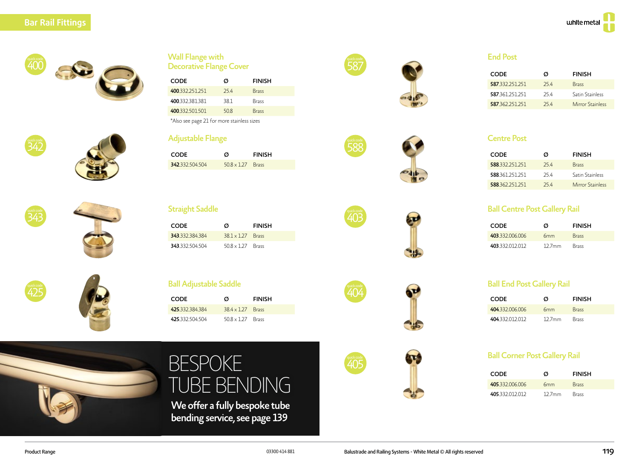quick code

quick code<br>425









| <b>CODE</b>                                | Ø   | <b>FINISH</b> |  |
|--------------------------------------------|-----|---------------|--|
| 400 332 251 251                            | 254 | <b>Brass</b>  |  |
| 400.332.381.381                            | 381 | <b>Brass</b>  |  |
| 400.332.501.501                            | 508 | <b>Brass</b>  |  |
| *Also see page 21 for more stainless sizes |     |               |  |

#### Adjustable Flange

| CODE                      | Ø                        | <b>FINISH</b> |
|---------------------------|--------------------------|---------------|
| <b>342.</b> 332. 504. 504 | $50.8 \times 1.27$ Brass |               |

#### **Straight Saddle**

| <b>CODE</b>     | Ø                      | <b>FINISH</b> |
|-----------------|------------------------|---------------|
| 343 332 384 384 | $381 \times 127$ Brass |               |
| 343 332 504 504 | $508 \times 127$ Brass |               |

#### **Ball Adjustable Saddle**

| <b>CODE</b>     | Ø                      | <b>FINISH</b> |
|-----------------|------------------------|---------------|
| 425 332 384 384 | $384 \times 127$ Brass |               |
| 425 332 504 504 | $508 \times 127$ Brass |               |



# BESPOKE TUBE BENDING

We offer a fully bespoke tube bending service, see page 139



588

quick code

quick code<br>404

quick code

## End Post

| <b>CODE</b>     | Ø   | <b>FINISH</b>          |
|-----------------|-----|------------------------|
| 587.332.251.251 | 254 | <b>Brass</b>           |
| 587 361 251 251 | 254 | <b>Satin Stainless</b> |
| 587 362 251 251 | 254 | Mirror Stainless       |

#### Centre Post

| <b>CODE</b>     | Ø   | <b>FINISH</b>          |
|-----------------|-----|------------------------|
| 588 332 251 251 | 254 | <b>Brass</b>           |
| 588 361 251 251 | 254 | <b>Satin Stainless</b> |
| 588 362 251 251 | 254 | Mirror Stainless       |

#### Ball Centre Post Gallery Rail

| CODE.           | Ø               | <b>FINISH</b> |
|-----------------|-----------------|---------------|
| 403 332 006 006 | 6 <sub>mm</sub> | <b>Brass</b>  |
| 403.332.012.012 | $127$ mm        | <b>Brass</b>  |

#### Ball End Post Gallery Rail

| CODE            | Ø               | <b>FINISH</b> |
|-----------------|-----------------|---------------|
| 404 332 006 006 | 6 <sub>mm</sub> | <b>Brass</b>  |
| 404.332.012.012 | $127$ mm        | <b>Brass</b>  |

#### Ball Corner Post Gallery Rail

| <b>CODE</b>     | Ø               | <b>FINISH</b> |
|-----------------|-----------------|---------------|
| 405 332 006 006 | 6 <sub>mm</sub> | <b>Brass</b>  |
| 405 332 012 012 | $127$ mm        | <b>Brass</b>  |



**ST** 

≂

 $\mathbf{u}$